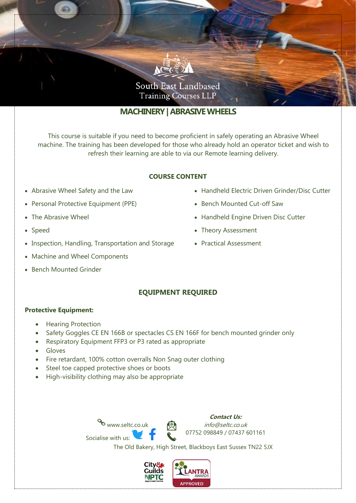

# **MACHINERY| ABRASIVE WHEELS**

This course is suitable if you need to become proficient in safely operating an Abrasive Wheel machine. The training has been developed for those who already hold an operator ticket and wish to refresh their learning are able to via our Remote learning delivery.

### **COURSE CONTENT**

- Abrasive Wheel Safety and the Law
- Personal Protective Equipment (PPE)
- The Abrasive Wheel
- Speed
- Inspection, Handling, Transportation and Storage
- Machine and Wheel Components
- Bench Mounted Grinder
- Handheld Electric Driven Grinder/Disc Cutter
- Bench Mounted Cut-off Saw
- Handheld Engine Driven Disc Cutter
- Theory Assessment
- Practical Assessment

## **EQUIPMENT REQUIRED**

#### **Protective Equipment:**

- Hearing Protection
- Safety Goggles CE EN 166B or spectacles CS EN 166F for bench mounted grinder only
- Respiratory Equipment FFP3 or P3 rated as appropriate
- Gloves
- Fire retardant, 100% cotton overralls Non Snag outer clothing
- Steel toe capped protective shoes or boots
- High-visibility clothing may also be appropriate





The Old Bakery, High Street, Blackboys East Sussex TN22 5JX